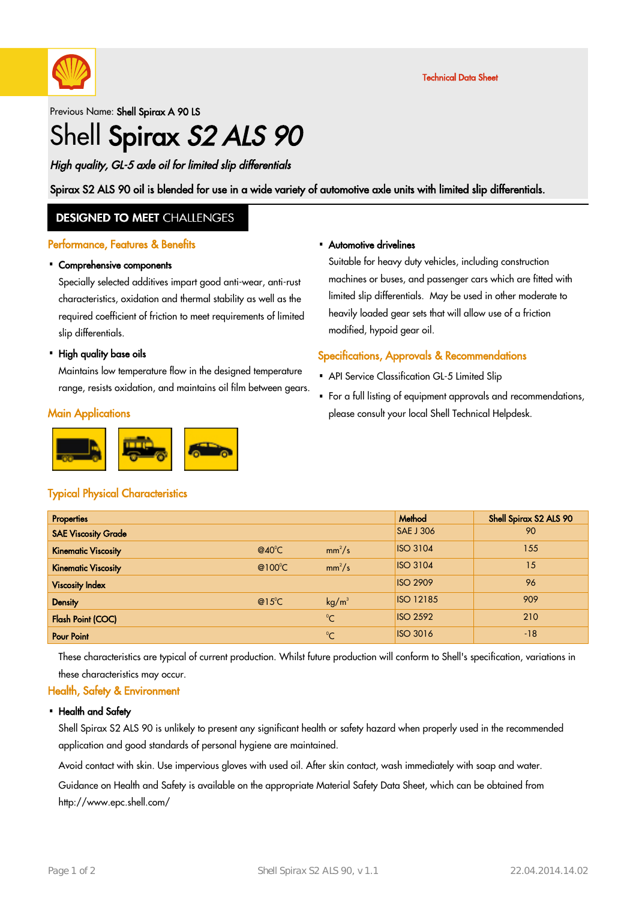

Technical Data Sheet

Previous Name: Shell Spirax A 90 LS

# Shell Spirax S2 ALS 90

High quality, GL-5 axle oil for limited slip differentials

Spirax S2 ALS 90 oil is blended for use in a wide variety of automotive axle units with limited slip differentials.

#### **DESIGNED TO MEET CHALLENGES**

#### Performance, Features & Benefits

### Comprehensive components ·

Specially selected additives impart good anti-wear, anti-rust characteristics, oxidation and thermal stability as well as the required coefficient of friction to meet requirements of limited slip differentials.

### • High quality base oils

Maintains low temperature flow in the designed temperature range, resists oxidation, and maintains oil film between gears.

#### **Main Applications**



## Typical Physical Characteristics

### Automotive drivelines ·

Suitable for heavy duty vehicles, including construction machines or buses, and passenger cars which are fitted with limited slip differentials. May be used in other moderate to heavily loaded gear sets that will allow use of a friction modified, hypoid gear oil.

#### Specifications, Approvals & Recommendations

- API Service Classification GL-5 Limited Slip
- For a full listing of equipment approvals and recommendations, please consult your local Shell Technical Helpdesk. ·

| <b>Properties</b>          |                   |                   | Method           | Shell Spirax S2 ALS 90 |
|----------------------------|-------------------|-------------------|------------------|------------------------|
| <b>SAE Viscosity Grade</b> |                   |                   | <b>SAE J 306</b> | 90                     |
| <b>Kinematic Viscosity</b> | $@40^{\circ}$ C   | $mm^2/s$          | <b>ISO 3104</b>  | 155                    |
| <b>Kinematic Viscosity</b> | @ $100^{\circ}$ C | $mm^2/s$          | <b>ISO 3104</b>  | 15                     |
| <b>Viscosity Index</b>     |                   |                   | <b>ISO 2909</b>  | 96                     |
| <b>Density</b>             | $@15^{\circ}C$    | kg/m <sup>3</sup> | <b>ISO 12185</b> | 909                    |
| <b>Flash Point (COC)</b>   |                   | $^{\circ}C$       | <b>ISO 2592</b>  | 210                    |
| <b>Pour Point</b>          |                   | $^{\circ}C$       | <b>ISO 3016</b>  | $-18$                  |

These characteristics are typical of current production. Whilst future production will conform to Shell's specification, variations in these characteristics may occur.

### Health, Safety & Environment

#### • Health and Safety

Shell Spirax S2 ALS 90 is unlikely to present any significant health or safety hazard when properly used in the recommended application and good standards of personal hygiene are maintained.

Avoid contact with skin. Use impervious gloves with used oil. After skin contact, wash immediately with soap and water.

Guidance on Health and Safety is available on the appropriate Material Safety Data Sheet, which can be obtained from http://www.epc.shell.com/